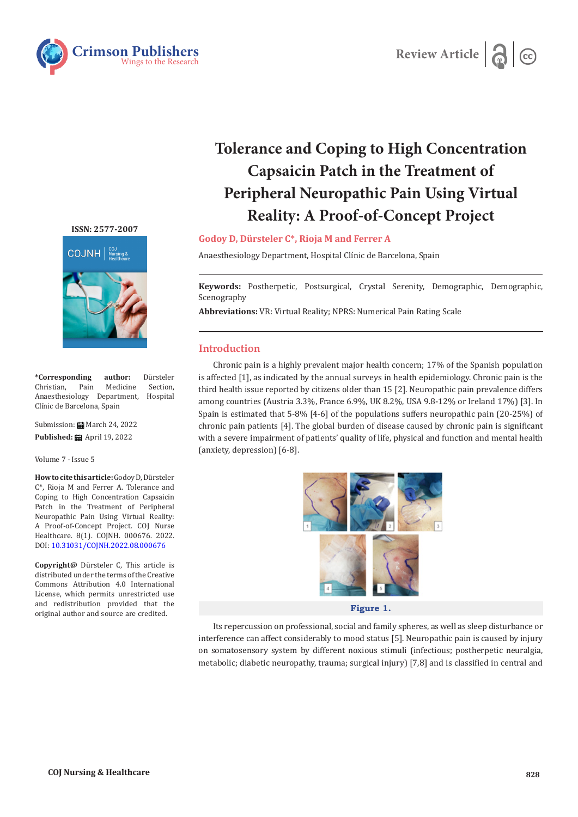





**\*Corresponding author:** Dürsteler Christian, Pain Medicine Section,<br>Anaesthesiology Department, Hospital Anaesthesiology Department, Clínic de Barcelona, Spain

Submission: H March 24, 2022 Published: **■** April 19, 2022

Volume 7 - Issue 5

**How to cite this article:**Godoy D, Dürsteler C\*, Rioja M and Ferrer A. Tolerance and Coping to High Concentration Capsaicin Patch in the Treatment of Peripheral Neuropathic Pain Using Virtual Reality: A Proof-of-Concept Project. COJ Nurse Healthcare. 8(1). COJNH. 000676. 2022. DOI: [10.31031/COJNH.2022.08.000676](http://dx.doi.org/10.31031/COJNH.2022.08.000676)

**Copyright@** Dürsteler C, This article is distributed under the terms of the Creative Commons Attribution 4.0 International License, which permits unrestricted use and redistribution provided that the original author and source are credited.

# **Tolerance and Coping to High Concentration Capsaicin Patch in the Treatment of Peripheral Neuropathic Pain Using Virtual Reality: A Proof-of-Concept Project**

# **Godoy D, Dürsteler C\*, Rioja M and Ferrer A**

Anaesthesiology Department, Hospital Clínic de Barcelona, Spain

**Keywords:** Postherpetic, Postsurgical, Crystal Serenity, Demographic, Demographic, Scenography

**Abbreviations:** VR: Virtual Reality; NPRS: Numerical Pain Rating Scale

# **Introduction**

Chronic pain is a highly prevalent major health concern; 17% of the Spanish population is affected [1], as indicated by the annual surveys in health epidemiology. Chronic pain is the third health issue reported by citizens older than 15 [2]. Neuropathic pain prevalence differs among countries (Austria 3.3%, France 6.9%, UK 8.2%, USA 9.8-12% or Ireland 17%) [3]. In Spain is estimated that 5-8% [4-6] of the populations suffers neuropathic pain (20-25%) of chronic pain patients [4]. The global burden of disease caused by chronic pain is significant with a severe impairment of patients' quality of life, physical and function and mental health (anxiety, depression) [6-8].



**Figure 1.**

Its repercussion on professional, social and family spheres, as well as sleep disturbance or interference can affect considerably to mood status [5]. Neuropathic pain is caused by injury on somatosensory system by different noxious stimuli (infectious; postherpetic neuralgia, metabolic; diabetic neuropathy, trauma; surgical injury) [7,8] and is classified in central and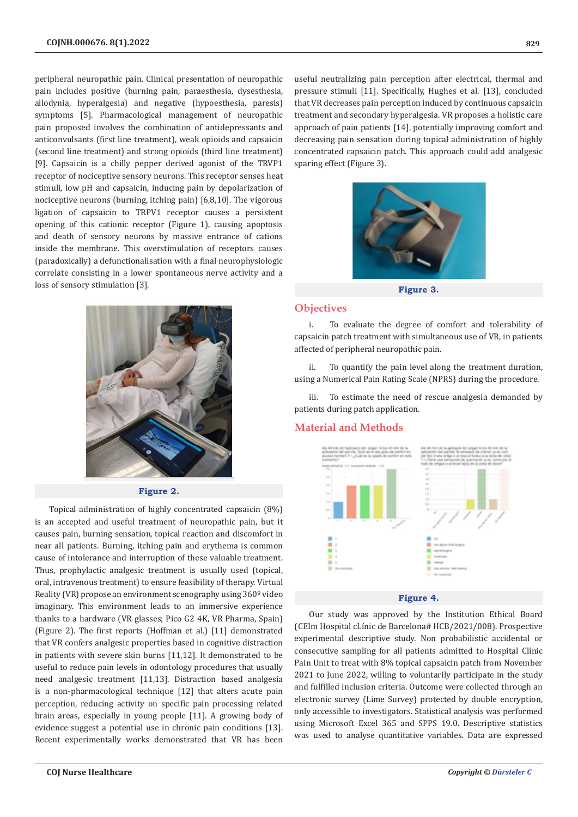peripheral neuropathic pain. Clinical presentation of neuropathic pain includes positive (burning pain, paraesthesia, dysesthesia, allodynia, hyperalgesia) and negative (hypoesthesia, paresis) symptoms [5]. Pharmacological management of neuropathic pain proposed involves the combination of antidepressants and anticonvulsants (first line treatment), weak opioids and capsaicin (second line treatment) and strong opioids (third line treatment) [9]. Capsaicin is a chilly pepper derived agonist of the TRVP1 receptor of nociceptive sensory neurons. This receptor senses heat stimuli, low pH and capsaicin, inducing pain by depolarization of nociceptive neurons (burning, itching pain) [6,8,10]. The vigorous ligation of capsaicin to TRPV1 receptor causes a persistent opening of this cationic receptor (Figure 1), causing apoptosis and death of sensory neurons by massive entrance of cations inside the membrane. This overstimulation of receptors causes (paradoxically) a defunctionalisation with a final neurophysiologic correlate consisting in a lower spontaneous nerve activity and a loss of sensory stimulation [3].



## **Figure 2.**

Topical administration of highly concentrated capsaicin (8%) is an accepted and useful treatment of neuropathic pain, but it causes pain, burning sensation, topical reaction and discomfort in near all patients. Burning, itching pain and erythema is common cause of intolerance and interruption of these valuable treatment. Thus, prophylactic analgesic treatment is usually used (topical, oral, intravenous treatment) to ensure feasibility of therapy. Virtual Reality (VR) propose an environment scenography using 360º video imaginary. This environment leads to an immersive experience thanks to a hardware (VR glasses; Pico G2 4K, VR Pharma, Spain) (Figure 2). The first reports (Hoffman et al.) [11] demonstrated that VR confers analgesic properties based in cognitive distraction in patients with severe skin burns [11,12]. It demonstrated to be useful to reduce pain levels in odontology procedures that usually need analgesic treatment [11,13]. Distraction based analgesia is a non-pharmacological technique [12] that alters acute pain perception, reducing activity on specific pain processing related brain areas, especially in young people [11]. A growing body of evidence suggest a potential use in chronic pain conditions [13]. Recent experimentally works demonstrated that VR has been

useful neutralizing pain perception after electrical, thermal and pressure stimuli [11]. Specifically, Hughes et al. [13], concluded that VR decreases pain perception induced by continuous capsaicin treatment and secondary hyperalgesia. VR proposes a holistic care approach of pain patients [14], potentially improving comfort and decreasing pain sensation during topical administration of highly concentrated capsaicin patch. This approach could add analgesic sparing effect (Figure 3).



**Figure 3.**

# **Objectives**

To evaluate the degree of comfort and tolerability of capsaicin patch treatment with simultaneous use of VR, in patients affected of peripheral neuropathic pain.

ii. To quantify the pain level along the treatment duration, using a Numerical Pain Rating Scale (NPRS) during the procedure.

iii. To estimate the need of rescue analgesia demanded by patients during patch application.

#### **Material and Methods**



# **Figure 4.**

Our study was approved by the Institution Ethical Board (CEIm Hospital cLínic de Barcelona# HCB/2021/008). Prospective experimental descriptive study. Non probabilistic accidental or consecutive sampling for all patients admitted to Hospital Clínic Pain Unit to treat with 8% topical capsaicin patch from November 2021 to June 2022, willing to voluntarily participate in the study and fulfilled inclusion criteria. Outcome were collected through an electronic survey (Lime Survey) protected by double encryption, only accessible to investigators. Statistical analysis was performed using Microsoft Excel 365 and SPPS 19.0. Descriptive statistics was used to analyse quantitative variables. Data are expressed